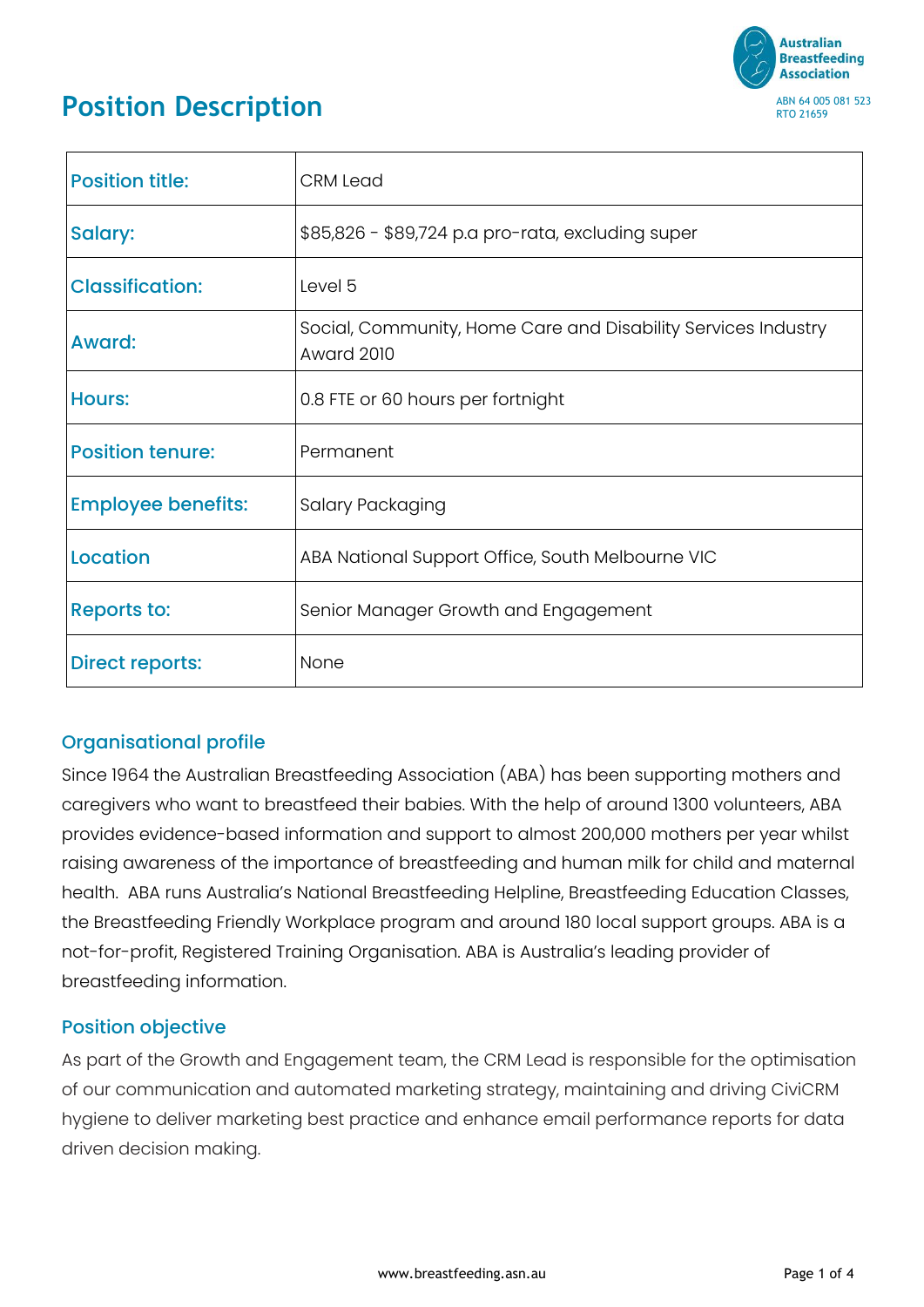

# **Position Description**

| <b>Position title:</b>    | <b>CRM Lead</b>                                                                    |
|---------------------------|------------------------------------------------------------------------------------|
| Salary:                   | \$85,826 - \$89,724 p.a pro-rata, excluding super                                  |
| <b>Classification:</b>    | Level 5                                                                            |
| <b>Award:</b>             | Social, Community, Home Care and Disability Services Industry<br><b>Award 2010</b> |
| <b>Hours:</b>             | 0.8 FTE or 60 hours per fortnight                                                  |
| <b>Position tenure:</b>   | Permanent                                                                          |
| <b>Employee benefits:</b> | Salary Packaging                                                                   |
| <b>Location</b>           | ABA National Support Office, South Melbourne VIC                                   |
| <b>Reports to:</b>        | Senior Manager Growth and Engagement                                               |
| <b>Direct reports:</b>    | None                                                                               |

# Organisational profile

Since 1964 the Australian Breastfeeding Association (ABA) has been supporting mothers and caregivers who want to breastfeed their babies. With the help of around 1300 volunteers, ABA provides evidence-based information and support to almost 200,000 mothers per year whilst raising awareness of the importance of breastfeeding and human milk for child and maternal health. ABA runs Australia's National Breastfeeding Helpline, Breastfeeding Education Classes, the Breastfeeding Friendly Workplace program and around 180 local support groups. ABA is a not-for-profit, Registered Training Organisation. ABA is Australia's leading provider of breastfeeding information.

# Position objective

As part of the Growth and Engagement team, the CRM Lead is responsible for the optimisation of our communication and automated marketing strategy, maintaining and driving CiviCRM hygiene to deliver marketing best practice and enhance email performance reports for data driven decision making.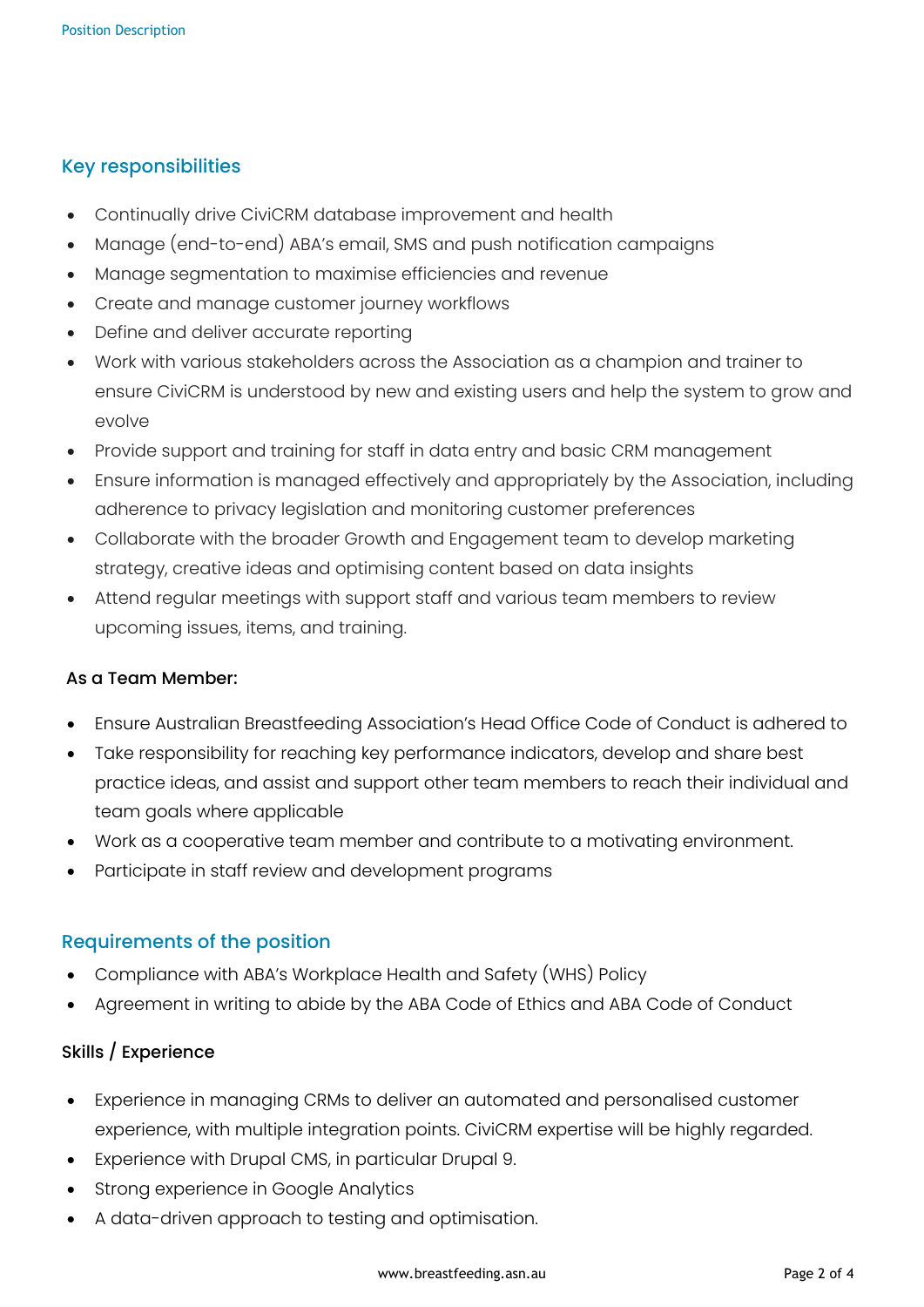### Key responsibilities

- Continually drive CiviCRM database improvement and health
- Manage (end-to-end) ABA's email, SMS and push notification campaigns
- Manage segmentation to maximise efficiencies and revenue
- Create and manage customer journey workflows
- Define and deliver accurate reporting
- Work with various stakeholders across the Association as a champion and trainer to ensure CiviCRM is understood by new and existing users and help the system to grow and evolve
- Provide support and training for staff in data entry and basic CRM management
- Ensure information is managed effectively and appropriately by the Association, including adherence to privacy legislation and monitoring customer preferences
- Collaborate with the broader Growth and Engagement team to develop marketing strategy, creative ideas and optimising content based on data insights
- Attend regular meetings with support staff and various team members to review upcoming issues, items, and training.

#### As a Team Member:

- Ensure Australian Breastfeeding Association's Head Office Code of Conduct is adhered to
- Take responsibility for reaching key performance indicators, develop and share best practice ideas, and assist and support other team members to reach their individual and team goals where applicable
- Work as a cooperative team member and contribute to a motivating environment.
- Participate in staff review and development programs

#### Requirements of the position

- Compliance with ABA's Workplace Health and Safety (WHS) Policy
- Agreement in writing to abide by the ABA Code of Ethics and ABA Code of Conduct

#### Skills / Experience

- Experience in managing CRMs to deliver an automated and personalised customer experience, with multiple integration points. CiviCRM expertise will be highly regarded.
- Experience with Drupal CMS, in particular Drupal 9.
- Strong experience in Google Analytics
- A data-driven approach to testing and optimisation.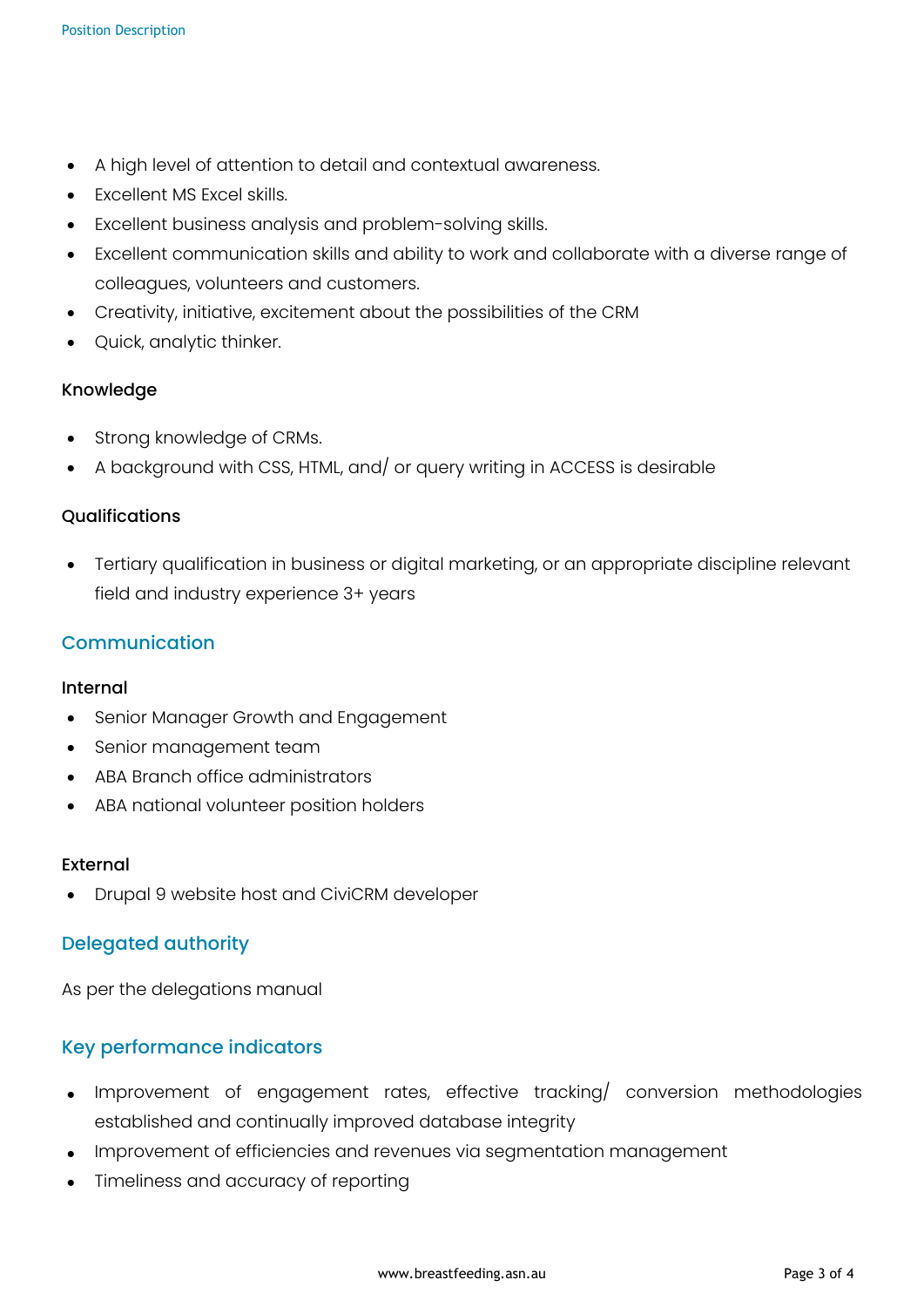- A high level of attention to detail and contextual awareness.
- Excellent MS Excel skills.
- Excellent business analysis and problem-solving skills.
- Excellent communication skills and ability to work and collaborate with a diverse range of colleagues, volunteers and customers.
- Creativity, initiative, excitement about the possibilities of the CRM
- Quick, analytic thinker.

#### Knowledge

- Strong knowledge of CRMs.
- A background with CSS, HTML, and/ or query writing in ACCESS is desirable

#### Qualifications

• Tertiary qualification in business or digital marketing, or an appropriate discipline relevant field and industry experience 3+ years

## Communication

#### Internal

- Senior Manager Growth and Engagement
- Senior management team
- ABA Branch office administrators
- ABA national volunteer position holders

#### External

• Drupal 9 website host and CiviCRM developer

#### Delegated authority

As per the delegations manual

#### Key performance indicators

- Improvement of engagement rates, effective tracking/ conversion methodologies established and continually improved database integrity
- Improvement of efficiencies and revenues via segmentation management
- Timeliness and accuracy of reporting